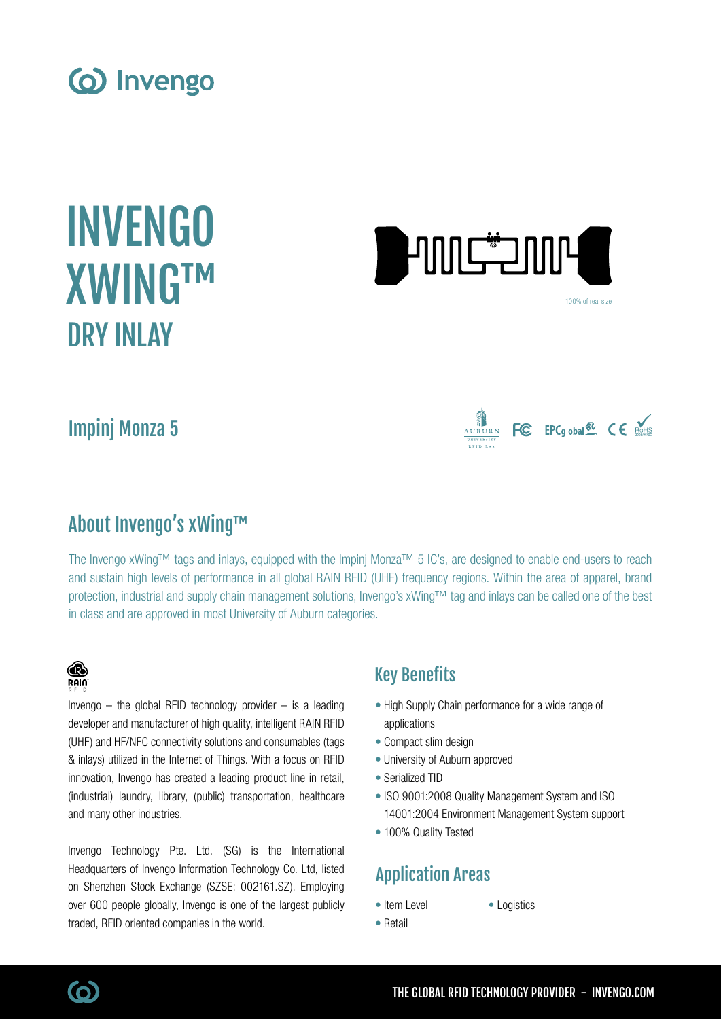





100% of real size

FC EPCglobal<sup>50</sup> CE ROHS

# Impinj Monza 5



The Invengo xWing™ tags and inlays, equipped with the Impinj Monza™ 5 IC's, are designed to enable end-users to reach and sustain high levels of performance in all global RAIN RFID (UHF) frequency regions. Within the area of apparel, brand protection, industrial and supply chain management solutions, Invengo's xWing™ tag and inlays can be called one of the best in class and are approved in most University of Auburn categories.

## ® **RAIN**

Invengo  $-$  the global RFID technology provider  $-$  is a leading developer and manufacturer of high quality, intelligent RAIN RFID (UHF) and HF/NFC connectivity solutions and consumables (tags & inlays) utilized in the Internet of Things. With a focus on RFID innovation, Invengo has created a leading product line in retail, (industrial) laundry, library, (public) transportation, healthcare and many other industries.

Invengo Technology Pte. Ltd. (SG) is the International Headquarters of Invengo Information Technology Co. Ltd, listed on Shenzhen Stock Exchange (SZSE: 002161.SZ). Employing over 600 people globally, Invengo is one of the largest publicly traded, RFID oriented companies in the world.

## Key Benefits

- High Supply Chain performance for a wide range of applications
- Compact slim design
- University of Auburn approved
- Serialized TID
- ISO 9001:2008 Quality Management System and ISO 14001:2004 Environment Management System support
- 100% Quality Tested

# Application Areas

- Item Level
- Logistics
- Retail